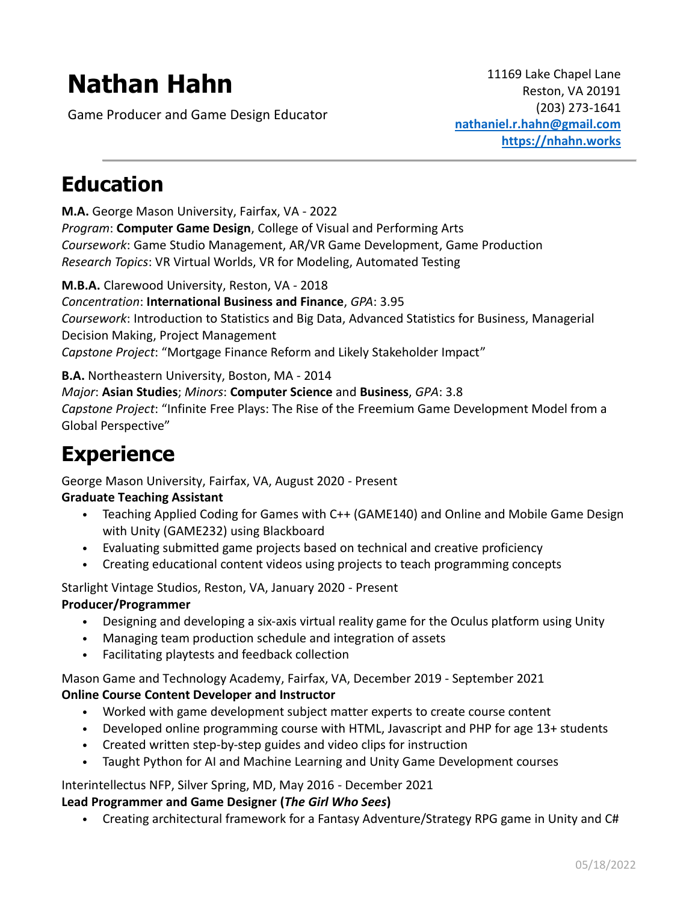# **Nathan Hahn**

Game Producer and Game Design Educator

# **Education**

**M.A.** George Mason University, Fairfax, VA - 2022 *Program*: **Computer Game Design**, College of Visual and Performing Arts *Coursework*: Game Studio Management, AR/VR Game Development, Game Production *Research Topics*: VR Virtual Worlds, VR for Modeling, Automated Testing

#### **M.B.A.** Clarewood University, Reston, VA - 2018

*Concentration*: **International Business and Finance**, *GPA*: 3.95

*Coursework*: Introduction to Statistics and Big Data, Advanced Statistics for Business, Managerial Decision Making, Project Management

*Capstone Project*: "Mortgage Finance Reform and Likely Stakeholder Impact"

#### **B.A.** Northeastern University, Boston, MA - 2014

#### *Major*: **Asian Studies**; *Minors*: **Computer Science** and **Business**, *GPA*: 3.8

*Capstone Project*: "Infinite Free Plays: The Rise of the Freemium Game Development Model from a Global Perspective"

## **Experience**

George Mason University, Fairfax, VA, August 2020 - Present

#### **Graduate Teaching Assistant**

- Teaching Applied Coding for Games with C++ (GAME140) and Online and Mobile Game Design with Unity (GAME232) using Blackboard
- Evaluating submitted game projects based on technical and creative proficiency
- Creating educational content videos using projects to teach programming concepts

Starlight Vintage Studios, Reston, VA, January 2020 - Present

#### **Producer/Programmer**

- Designing and developing a six-axis virtual reality game for the Oculus platform using Unity
- Managing team production schedule and integration of assets
- Facilitating playtests and feedback collection

Mason Game and Technology Academy, Fairfax, VA, December 2019 - September 2021

#### **Online Course Content Developer and Instructor**

- Worked with game development subject matter experts to create course content
- Developed online programming course with HTML, Javascript and PHP for age 13+ students
- Created written step-by-step guides and video clips for instruction
- Taught Python for AI and Machine Learning and Unity Game Development courses

#### Interintellectus NFP, Silver Spring, MD, May 2016 - December 2021

#### **Lead Programmer and Game Designer (***The Girl Who Sees***)**

• Creating architectural framework for a Fantasy Adventure/Strategy RPG game in Unity and C#